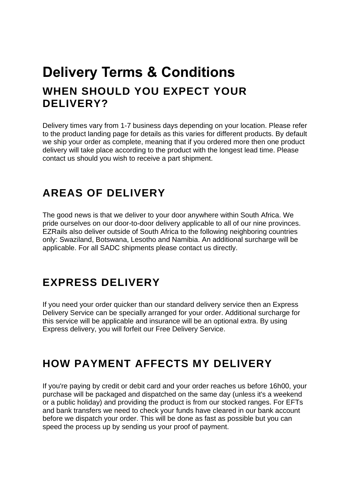## **Delivery Terms & Conditions WHEN SHOULD YOU EXPECT YOUR DELIVERY?**

Delivery times vary from 1-7 business days depending on your location. Please refer to the product landing page for details as this varies for different products. By default we ship your order as complete, meaning that if you ordered more then one product delivery will take place according to the product with the longest lead time. Please contact us should you wish to receive a part shipment.

## **AREAS OF DELIVERY**

The good news is that we deliver to your door anywhere within South Africa. We pride ourselves on our door-to-door delivery applicable to all of our nine provinces. EZRails also deliver outside of South Africa to the following neighboring countries only: Swaziland, Botswana, Lesotho and Namibia. An additional surcharge will be applicable. For all SADC shipments please contact us directly.

## **EXPRESS DELIVERY**

If you need your order quicker than our standard delivery service then an Express Delivery Service can be specially arranged for your order. Additional surcharge for this service will be applicable and insurance will be an optional extra. By using Express delivery, you will forfeit our Free Delivery Service.

## **HOW PAYMENT AFFECTS MY DELIVERY**

If you're paying by credit or debit card and your order reaches us before 16h00, your purchase will be packaged and dispatched on the same day (unless it's a weekend or a public holiday) and providing the product is from our stocked ranges. For EFTs and bank transfers we need to check your funds have cleared in our bank account before we dispatch your order. This will be done as fast as possible but you can speed the process up by sending us your proof of payment.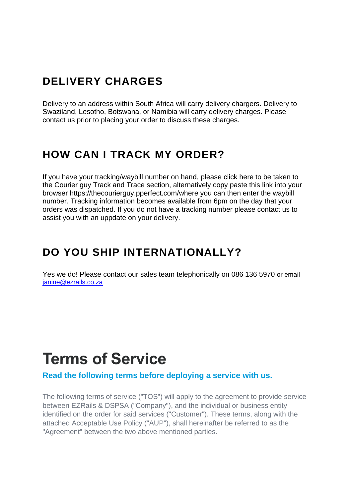## **DELIVERY CHARGES**

Delivery to an address within South Africa will carry delivery chargers. Delivery to Swaziland, Lesotho, Botswana, or Namibia will carry delivery charges. Please contact us prior to placing your order to discuss these charges.

## **HOW CAN I TRACK MY ORDER?**

If you have your tracking/waybill number on hand, please click here to be taken to the Courier guy Track and Trace section, alternatively copy paste this link into your browser https://thecourierguy.pperfect.com/where you can then enter the waybill number. Tracking information becomes available from 6pm on the day that your orders was dispatched. If you do not have a tracking number please contact us to assist you with an uppdate on your delivery.

## **DO YOU SHIP INTERNATIONALLY?**

Yes we do! Please contact our sales team telephonically on 086 136 5970 or email [janine@ezrails.co.za](mailto:janine@ezrails.co.za)

# **Terms of Service**

**Read the following terms before deploying a service with us.**

The following terms of service ("TOS") will apply to the agreement to provide service between EZRails & DSPSA ("Company"), and the individual or business entity identified on the order for said services ("Customer"). These terms, along with the attached Acceptable Use Policy ("AUP"), shall hereinafter be referred to as the "Agreement" between the two above mentioned parties.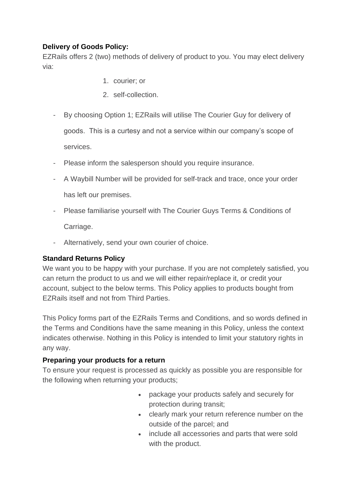### **Delivery of Goods Policy:**

EZRails offers 2 (two) methods of delivery of product to you. You may elect delivery via:

- 1. courier; or
- 2. self-collection.
- By choosing Option 1; EZRails will utilise The Courier Guy for delivery of goods. This is a curtesy and not a service within our company's scope of services.
- Please inform the salesperson should you require insurance.
- A Waybill Number will be provided for self-track and trace, once your order has left our premises.
- Please familiarise yourself with The Courier Guys Terms & Conditions of Carriage.
- Alternatively, send your own courier of choice.

### **Standard Returns Policy**

We want you to be happy with your purchase. If you are not completely satisfied, you can return the product to us and we will either repair/replace it, or credit your account, subject to the below terms. This Policy applies to products bought from EZRails itself and not from Third Parties.

This Policy forms part of the EZRails Terms and Conditions, and so words defined in the Terms and Conditions have the same meaning in this Policy, unless the context indicates otherwise. Nothing in this Policy is intended to limit your statutory rights in any way.

### **Preparing your products for a return**

To ensure your request is processed as quickly as possible you are responsible for the following when returning your products;

- package your products safely and securely for protection during transit;
- clearly mark your return reference number on the outside of the parcel; and
- include all accessories and parts that were sold with the product.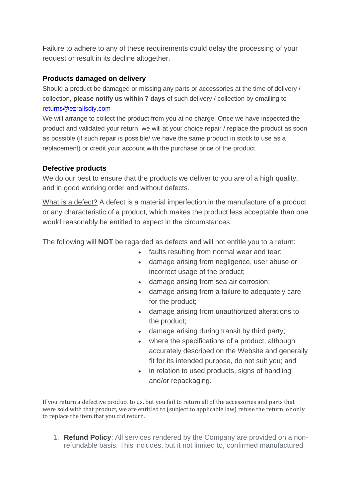Failure to adhere to any of these requirements could delay the processing of your request or result in its decline altogether.

### **Products damaged on delivery**

Should a product be damaged or missing any parts or accessories at the time of delivery / collection, **please notify us within 7 days** of such delivery / collection by emailing to [returns@ezrailsdiy.com](mailto:returns@ezrailsdiy.com)

We will arrange to collect the product from you at no charge. Once we have inspected the product and validated your return, we will at your choice repair / replace the product as soon as possible (if such repair is possible/ we have the same product in stock to use as a replacement) or credit your account with the purchase price of the product.

#### **Defective products**

We do our best to ensure that the products we deliver to you are of a high quality, and in good working order and without defects.

What is a defect? A defect is a material imperfection in the manufacture of a product or any characteristic of a product, which makes the product less acceptable than one would reasonably be entitled to expect in the circumstances.

The following will **NOT** be regarded as defects and will not entitle you to a return:

- faults resulting from normal wear and tear;
- damage arising from negligence, user abuse or incorrect usage of the product;
- damage arising from sea air corrosion;
- damage arising from a failure to adequately care for the product;
- damage arising from unauthorized alterations to the product;
- damage arising during transit by third party;
- where the specifications of a product, although accurately described on the Website and generally fit for its intended purpose, do not suit you; and
- in relation to used products, signs of handling and/or repackaging.

If you return a defective product to us, but you fail to return all of the accessories and parts that were sold with that product, we are entitled to (subject to applicable law) refuse the return, or only to replace the item that you did return.

1. **Refund Policy**: All services rendered by the Company are provided on a nonrefundable basis. This includes, but it not limited to, confirmed manufactured